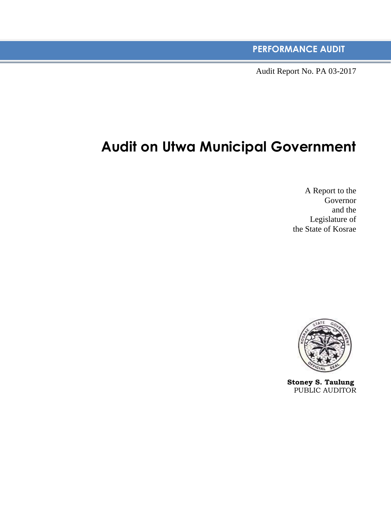**PERFORMANCE AUDIT**

Audit Report No. PA 03-2017

# **Audit on Utwa Municipal Government**

A Report to the Governor and the Legislature of the State of Kosrae



**Stoney S. Taulung** PUBLIC AUDITOR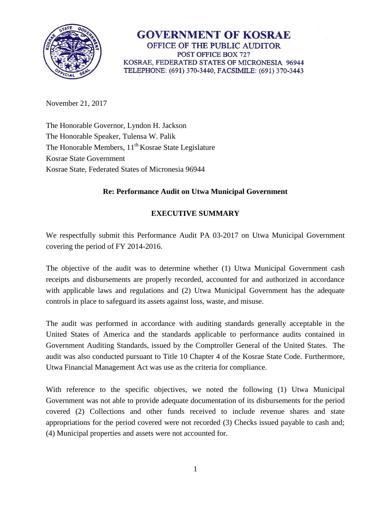

## **GOVERNMENT OF KOSRAE** OFFICE OF THE PUBLIC AUDITOR POST OFFICE BOX 727 KOSRAE, FEDERATED STATES OF MICRONESIA 96944 TELEPHONE: (691) 370-3440, FACSIMILE: (691) 370-3443

November 21, 2017

The Honorable Governor, Lyndon H. Jackson The Honorable Speaker, Tulensa W. Palik The Honorable Members,  $11<sup>th</sup> Kosrae State Legislature$ Kosrae State Government Kosrae State, Federated States of Micronesia 96944

#### **Re: Performance Audit on Utwa Municipal Government**

## **EXECUTIVE SUMMARY**

We respectfully submit this Performance Audit PA 03-2017 on Utwa Municipal Government covering the period of FY 2014-2016.

The objective of the audit was to determine whether (1) Utwa Municipal Government cash receipts and disbursements are properly recorded, accounted for and authorized in accordance with applicable laws and regulations and (2) Utwa Municipal Government has the adequate controls in place to safeguard its assets against loss, waste, and misuse.

The audit was performed in accordance with auditing standards generally acceptable in the United States of America and the standards applicable to performance audits contained in Government Auditing Standards, issued by the Comptroller General of the United States. The audit was also conducted pursuant to Title 10 Chapter 4 of the Kosrae State Code. Furthermore, Utwa Financial Management Act was use as the criteria for compliance.

With reference to the specific objectives, we noted the following (1) Utwa Municipal Government was not able to provide adequate documentation of its disbursements for the period covered (2) Collections and other funds received to include revenue shares and state appropriations for the period covered were not recorded (3) Checks issued payable to cash and; (4) Municipal properties and assets were not accounted for.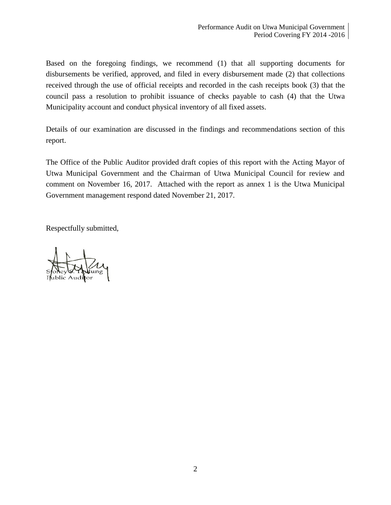Based on the foregoing findings, we recommend (1) that all supporting documents for disbursements be verified, approved, and filed in every disbursement made (2) that collections received through the use of official receipts and recorded in the cash receipts book (3) that the council pass a resolution to prohibit issuance of checks payable to cash (4) that the Utwa Municipality account and conduct physical inventory of all fixed assets.

Details of our examination are discussed in the findings and recommendations section of this report.

The Office of the Public Auditor provided draft copies of this report with the Acting Mayor of Utwa Municipal Government and the Chairman of Utwa Municipal Council for review and comment on November 16, 2017. Attached with the report as annex 1 is the Utwa Municipal Government management respond dated November 21, 2017.

Respectfully submitted,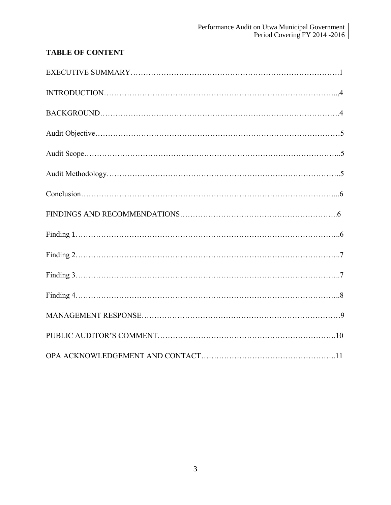## **TABLE OF CONTENT**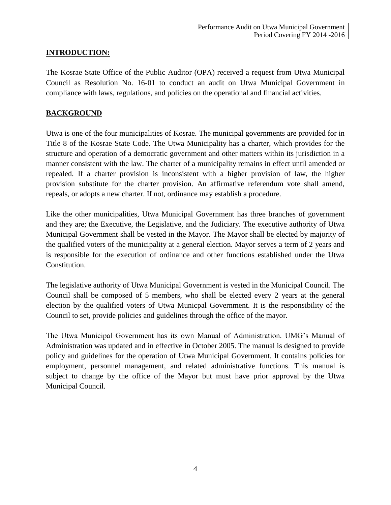### **INTRODUCTION:**

The Kosrae State Office of the Public Auditor (OPA) received a request from Utwa Municipal Council as Resolution No. 16-01 to conduct an audit on Utwa Municipal Government in compliance with laws, regulations, and policies on the operational and financial activities.

#### **BACKGROUND**

Utwa is one of the four municipalities of Kosrae. The municipal governments are provided for in Title 8 of the Kosrae State Code. The Utwa Municipality has a charter, which provides for the structure and operation of a democratic government and other matters within its jurisdiction in a manner consistent with the law. The charter of a municipality remains in effect until amended or repealed. If a charter provision is inconsistent with a higher provision of law, the higher provision substitute for the charter provision. An affirmative referendum vote shall amend, repeals, or adopts a new charter. If not, ordinance may establish a procedure.

Like the other municipalities, Utwa Municipal Government has three branches of government and they are; the Executive, the Legislative, and the Judiciary. The executive authority of Utwa Municipal Government shall be vested in the Mayor. The Mayor shall be elected by majority of the qualified voters of the municipality at a general election. Mayor serves a term of 2 years and is responsible for the execution of ordinance and other functions established under the Utwa Constitution.

The legislative authority of Utwa Municipal Government is vested in the Municipal Council. The Council shall be composed of 5 members, who shall be elected every 2 years at the general election by the qualified voters of Utwa Municpal Government. It is the responsibility of the Council to set, provide policies and guidelines through the office of the mayor.

The Utwa Municipal Government has its own Manual of Administration. UMG's Manual of Administration was updated and in effective in October 2005. The manual is designed to provide policy and guidelines for the operation of Utwa Municipal Government. It contains policies for employment, personnel management, and related administrative functions. This manual is subject to change by the office of the Mayor but must have prior approval by the Utwa Municipal Council.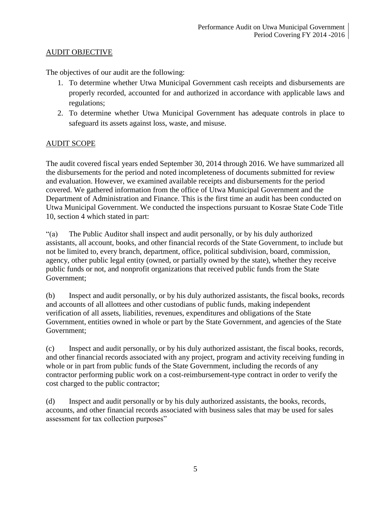### AUDIT OBJECTIVE

The objectives of our audit are the following:

- 1. To determine whether Utwa Municipal Government cash receipts and disbursements are properly recorded, accounted for and authorized in accordance with applicable laws and regulations;
- 2. To determine whether Utwa Municipal Government has adequate controls in place to safeguard its assets against loss, waste, and misuse.

### AUDIT SCOPE

The audit covered fiscal years ended September 30, 2014 through 2016. We have summarized all the disbursements for the period and noted incompleteness of documents submitted for review and evaluation. However, we examined available receipts and disbursements for the period covered. We gathered information from the office of Utwa Municipal Government and the Department of Administration and Finance. This is the first time an audit has been conducted on Utwa Municipal Government. We conducted the inspections pursuant to Kosrae State Code Title 10, section 4 which stated in part:

"(a) The Public Auditor shall inspect and audit personally, or by his duly authorized assistants, all account, books, and other financial records of the State Government, to include but not be limited to, every branch, department, office, political subdivision, board, commission, agency, other public legal entity (owned, or partially owned by the state), whether they receive public funds or not, and nonprofit organizations that received public funds from the State Government;

(b) Inspect and audit personally, or by his duly authorized assistants, the fiscal books, records and accounts of all allottees and other custodians of public funds, making independent verification of all assets, liabilities, revenues, expenditures and obligations of the State Government, entities owned in whole or part by the State Government, and agencies of the State Government;

(c) Inspect and audit personally, or by his duly authorized assistant, the fiscal books, records, and other financial records associated with any project, program and activity receiving funding in whole or in part from public funds of the State Government, including the records of any contractor performing public work on a cost-reimbursement-type contract in order to verify the cost charged to the public contractor;

(d) Inspect and audit personally or by his duly authorized assistants, the books, records, accounts, and other financial records associated with business sales that may be used for sales assessment for tax collection purposes"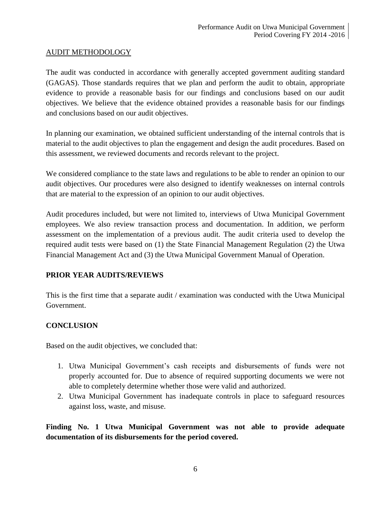#### AUDIT METHODOLOGY

The audit was conducted in accordance with generally accepted government auditing standard (GAGAS). Those standards requires that we plan and perform the audit to obtain, appropriate evidence to provide a reasonable basis for our findings and conclusions based on our audit objectives. We believe that the evidence obtained provides a reasonable basis for our findings and conclusions based on our audit objectives.

In planning our examination, we obtained sufficient understanding of the internal controls that is material to the audit objectives to plan the engagement and design the audit procedures. Based on this assessment, we reviewed documents and records relevant to the project.

We considered compliance to the state laws and regulations to be able to render an opinion to our audit objectives. Our procedures were also designed to identify weaknesses on internal controls that are material to the expression of an opinion to our audit objectives.

Audit procedures included, but were not limited to, interviews of Utwa Municipal Government employees. We also review transaction process and documentation. In addition, we perform assessment on the implementation of a previous audit. The audit criteria used to develop the required audit tests were based on (1) the State Financial Management Regulation (2) the Utwa Financial Management Act and (3) the Utwa Municipal Government Manual of Operation.

## **PRIOR YEAR AUDITS/REVIEWS**

This is the first time that a separate audit / examination was conducted with the Utwa Municipal Government.

#### **CONCLUSION**

Based on the audit objectives, we concluded that:

- 1. Utwa Municipal Government's cash receipts and disbursements of funds were not properly accounted for. Due to absence of required supporting documents we were not able to completely determine whether those were valid and authorized.
- 2. Utwa Municipal Government has inadequate controls in place to safeguard resources against loss, waste, and misuse.

**Finding No. 1 Utwa Municipal Government was not able to provide adequate documentation of its disbursements for the period covered.**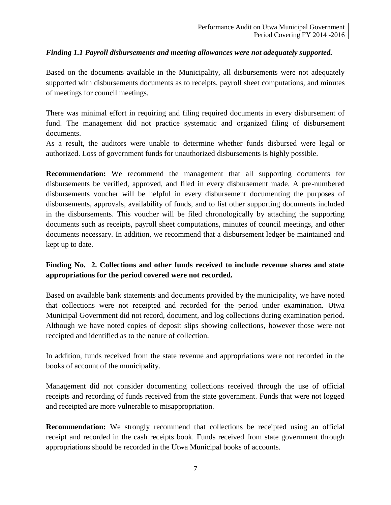### *Finding 1.1 Payroll disbursements and meeting allowances were not adequately supported.*

Based on the documents available in the Municipality, all disbursements were not adequately supported with disbursements documents as to receipts, payroll sheet computations, and minutes of meetings for council meetings.

There was minimal effort in requiring and filing required documents in every disbursement of fund. The management did not practice systematic and organized filing of disbursement documents.

As a result, the auditors were unable to determine whether funds disbursed were legal or authorized. Loss of government funds for unauthorized disbursements is highly possible.

**Recommendation:** We recommend the management that all supporting documents for disbursements be verified, approved, and filed in every disbursement made. A pre-numbered disbursements voucher will be helpful in every disbursement documenting the purposes of disbursements, approvals, availability of funds, and to list other supporting documents included in the disbursements. This voucher will be filed chronologically by attaching the supporting documents such as receipts, payroll sheet computations, minutes of council meetings, and other documents necessary. In addition, we recommend that a disbursement ledger be maintained and kept up to date.

## **Finding No. 2. Collections and other funds received to include revenue shares and state appropriations for the period covered were not recorded.**

Based on available bank statements and documents provided by the municipality, we have noted that collections were not receipted and recorded for the period under examination. Utwa Municipal Government did not record, document, and log collections during examination period. Although we have noted copies of deposit slips showing collections, however those were not receipted and identified as to the nature of collection.

In addition, funds received from the state revenue and appropriations were not recorded in the books of account of the municipality.

Management did not consider documenting collections received through the use of official receipts and recording of funds received from the state government. Funds that were not logged and receipted are more vulnerable to misappropriation.

**Recommendation:** We strongly recommend that collections be receipted using an official receipt and recorded in the cash receipts book. Funds received from state government through appropriations should be recorded in the Utwa Municipal books of accounts.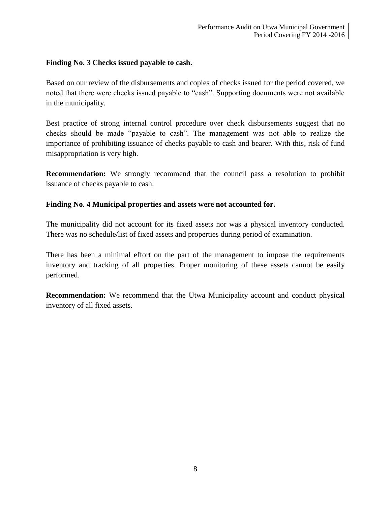#### **Finding No. 3 Checks issued payable to cash.**

Based on our review of the disbursements and copies of checks issued for the period covered, we noted that there were checks issued payable to "cash". Supporting documents were not available in the municipality.

Best practice of strong internal control procedure over check disbursements suggest that no checks should be made "payable to cash". The management was not able to realize the importance of prohibiting issuance of checks payable to cash and bearer. With this, risk of fund misappropriation is very high.

**Recommendation:** We strongly recommend that the council pass a resolution to prohibit issuance of checks payable to cash.

#### **Finding No. 4 Municipal properties and assets were not accounted for.**

The municipality did not account for its fixed assets nor was a physical inventory conducted. There was no schedule/list of fixed assets and properties during period of examination.

There has been a minimal effort on the part of the management to impose the requirements inventory and tracking of all properties. Proper monitoring of these assets cannot be easily performed.

**Recommendation:** We recommend that the Utwa Municipality account and conduct physical inventory of all fixed assets.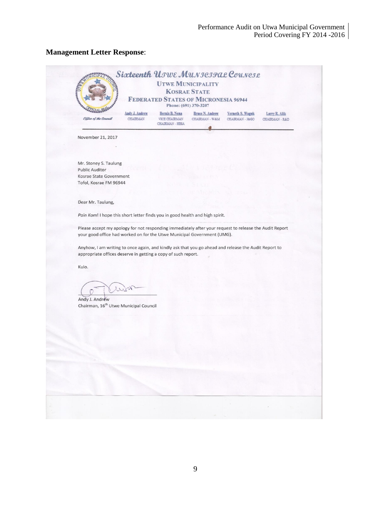## **Management Letter Response**:

|                                                   | Phone: (691) 370-3207<br>Andy J. Andrew<br>Bernis B. Nena<br><b>Bruce N. Andrew</b><br>Verneth S. Waguk<br>Larry R. Alik                                                        |
|---------------------------------------------------|---------------------------------------------------------------------------------------------------------------------------------------------------------------------------------|
| Office of the Council<br><b>CHAIRMAN</b>          | <b>VICE CHAIRMAN</b><br>CHAIRMAN - W&M<br>CHAIRMAN - J&GO<br>CHAIRMAN - R&D<br>CHAIRMAN - HESA                                                                                  |
| November 21, 2017                                 |                                                                                                                                                                                 |
|                                                   |                                                                                                                                                                                 |
| Mr. Stoney S. Taulung<br><b>Public Auditor</b>    |                                                                                                                                                                                 |
| Kosrae State Government                           |                                                                                                                                                                                 |
| Tofol, Kosrae FM 96944                            |                                                                                                                                                                                 |
| Dear Mr. Taulung,                                 |                                                                                                                                                                                 |
|                                                   | Pain Kom! I hope this short letter finds you in good health and high spirit.                                                                                                    |
|                                                   | Please accept my apology for not responding immediately after your request to release the Audit Report                                                                          |
|                                                   |                                                                                                                                                                                 |
|                                                   | your good office had worked on for the Utwe Municipal Government (UMG).<br>Anyhow, I am writing to once again, and kindly ask that you go ahead and release the Audit Report to |
| Kulo.                                             | appropriate offices deserve in getting a copy of such report.                                                                                                                   |
| wer                                               |                                                                                                                                                                                 |
| Andy J. Andrew                                    |                                                                                                                                                                                 |
| Chairman, 16 <sup>th</sup> Utwe Municipal Council |                                                                                                                                                                                 |
|                                                   |                                                                                                                                                                                 |
|                                                   |                                                                                                                                                                                 |
|                                                   |                                                                                                                                                                                 |
|                                                   |                                                                                                                                                                                 |
|                                                   |                                                                                                                                                                                 |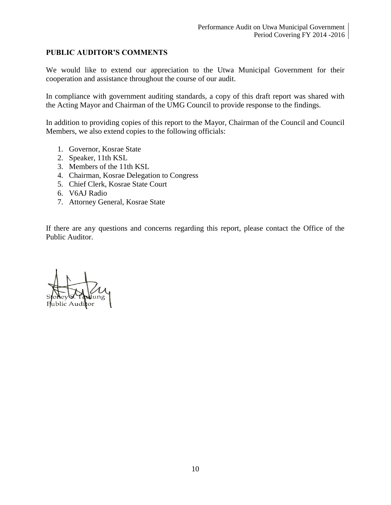#### **PUBLIC AUDITOR'S COMMENTS**

We would like to extend our appreciation to the Utwa Municipal Government for their cooperation and assistance throughout the course of our audit.

In compliance with government auditing standards, a copy of this draft report was shared with the Acting Mayor and Chairman of the UMG Council to provide response to the findings.

In addition to providing copies of this report to the Mayor, Chairman of the Council and Council Members, we also extend copies to the following officials:

- 1. Governor, Kosrae State
- 2. Speaker, 11th KSL
- 3. Members of the 11th KSL
- 4. Chairman, Kosrae Delegation to Congress
- 5. Chief Clerk, Kosrae State Court
- 6. V6AJ Radio
- 7. Attorney General, Kosrae State

If there are any questions and concerns regarding this report, please contact the Office of the Public Auditor.